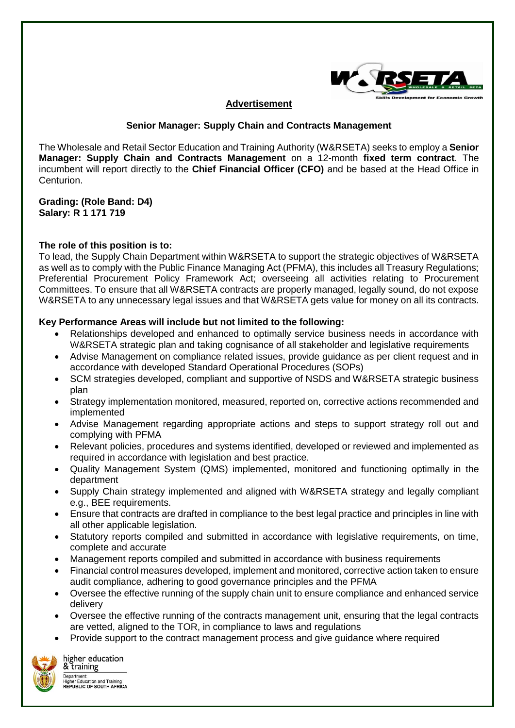

## **Advertisement**

## **Senior Manager: Supply Chain and Contracts Management**

The Wholesale and Retail Sector Education and Training Authority (W&RSETA) seeks to employ a **Senior Manager: Supply Chain and Contracts Management** on a 12-month **fixed term contract**. The incumbent will report directly to the **Chief Financial Officer (CFO)** and be based at the Head Office in Centurion.

**Grading: (Role Band: D4) Salary: R 1 171 719**

## **The role of this position is to:**

To lead, the Supply Chain Department within W&RSETA to support the strategic objectives of W&RSETA as well as to comply with the Public Finance Managing Act (PFMA), this includes all Treasury Regulations; Preferential Procurement Policy Framework Act; overseeing all activities relating to Procurement Committees. To ensure that all W&RSETA contracts are properly managed, legally sound, do not expose W&RSETA to any unnecessary legal issues and that W&RSETA gets value for money on all its contracts.

#### **Key Performance Areas will include but not limited to the following:**

- Relationships developed and enhanced to optimally service business needs in accordance with W&RSETA strategic plan and taking cognisance of all stakeholder and legislative requirements
- Advise Management on compliance related issues, provide guidance as per client request and in accordance with developed Standard Operational Procedures (SOPs)
- SCM strategies developed, compliant and supportive of NSDS and W&RSETA strategic business plan
- Strategy implementation monitored, measured, reported on, corrective actions recommended and implemented
- Advise Management regarding appropriate actions and steps to support strategy roll out and complying with PFMA
- Relevant policies, procedures and systems identified, developed or reviewed and implemented as required in accordance with legislation and best practice.
- Quality Management System (QMS) implemented, monitored and functioning optimally in the department
- Supply Chain strategy implemented and aligned with W&RSETA strategy and legally compliant e.g., BEE requirements.
- Ensure that contracts are drafted in compliance to the best legal practice and principles in line with all other applicable legislation.
- Statutory reports compiled and submitted in accordance with legislative requirements, on time, complete and accurate
- Management reports compiled and submitted in accordance with business requirements
- Financial control measures developed, implement and monitored, corrective action taken to ensure audit compliance, adhering to good governance principles and the PFMA
- Oversee the effective running of the supply chain unit to ensure compliance and enhanced service delivery
- Oversee the effective running of the contracts management unit, ensuring that the legal contracts are vetted, aligned to the TOR, in compliance to laws and regulations
- Provide support to the contract management process and give guidance where required



higher education & training Department: Department:<br>Higher Education and Training<br>REPUBLIC OF SOUTH AFRICA